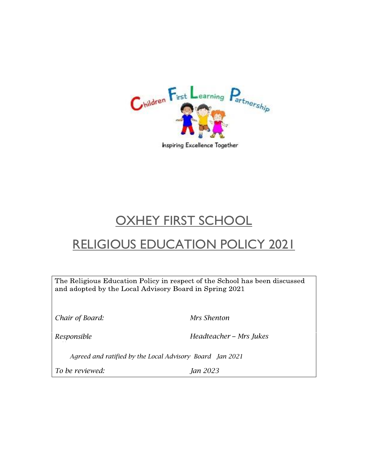

Inspiring Excellence Together

# OXHEY FIRST SCHOOL

# RELIGIOUS EDUCATION POLICY 2021

The Religious Education Policy in respect of the School has been discussed and adopted by the Local Advisory Board in Spring 2021

*Chair of Board: Mrs Shenton*

*Responsible Headteacher – Mrs Jukes*

*Agreed and ratified by the Local Advisory Board Jan 2021*

*To be reviewed: Jan 2023*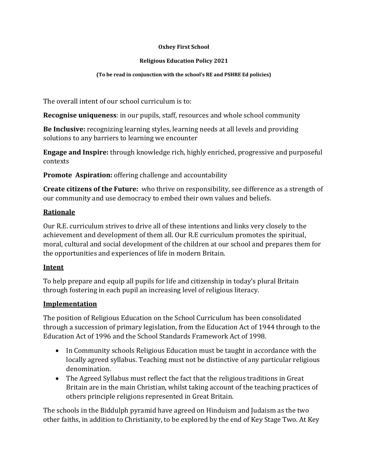#### **Oxhey First School**

#### **Religious Education Policy 2021**

#### **(To be read in conjunction with the school's RE and PSHRE Ed policies)**

The overall intent of our school curriculum is to:

**Recognise uniqueness**: in our pupils, staff, resources and whole school community

**Be Inclusive:** recognizing learning styles, learning needs at all levels and providing solutions to any barriers to learning we encounter

**Engage and Inspire:** through knowledge rich, highly enriched, progressive and purposeful contexts

**Promote Aspiration:** offering challenge and accountability

**Create citizens of the Future:** who thrive on responsibility, see difference as a strength of our community and use democracy to embed their own values and beliefs.

### **Rationale**

Our R.E. curriculum strives to drive all of these intentions and links very closely to the achievement and development of them all. Our R.E curriculum promotes the spiritual, moral, cultural and social development of the children at our school and prepares them for the opportunities and experiences of life in modern Britain.

# **Intent**

To help prepare and equip all pupils for life and citizenship in today's plural Britain through fostering in each pupil an increasing level of religious literacy.

### **Implementation**

The position of Religious Education on the School Curriculum has been consolidated through a succession of primary legislation, from the Education Act of 1944 through to the Education Act of 1996 and the School Standards Framework Act of 1998.

- In Community schools Religious Education must be taught in accordance with the locally agreed syllabus. Teaching must not be distinctive of any particular religious denomination.
- The Agreed Syllabus must reflect the fact that the religious traditions in Great Britain are in the main Christian, whilst taking account of the teaching practices of others principle religions represented in Great Britain.

The schools in the Biddulph pyramid have agreed on Hinduism and Judaism as the two other faiths, in addition to Christianity, to be explored by the end of Key Stage Two. At Key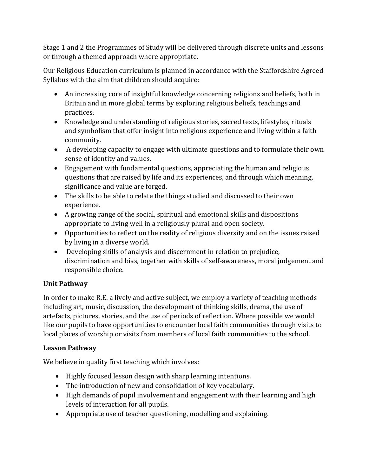Stage 1 and 2 the Programmes of Study will be delivered through discrete units and lessons or through a themed approach where appropriate.

Our Religious Education curriculum is planned in accordance with the Staffordshire Agreed Syllabus with the aim that children should acquire:

- An increasing core of insightful knowledge concerning religions and beliefs, both in Britain and in more global terms by exploring religious beliefs, teachings and practices.
- Knowledge and understanding of religious stories, sacred texts, lifestyles, rituals and symbolism that offer insight into religious experience and living within a faith community.
- A developing capacity to engage with ultimate questions and to formulate their own sense of identity and values.
- Engagement with fundamental questions, appreciating the human and religious questions that are raised by life and its experiences, and through which meaning, significance and value are forged.
- The skills to be able to relate the things studied and discussed to their own experience.
- A growing range of the social, spiritual and emotional skills and dispositions appropriate to living well in a religiously plural and open society.
- Opportunities to reflect on the reality of religious diversity and on the issues raised by living in a diverse world.
- Developing skills of analysis and discernment in relation to prejudice, discrimination and bias, together with skills of self-awareness, moral judgement and responsible choice.

# **Unit Pathway**

In order to make R.E. a lively and active subject, we employ a variety of teaching methods including art, music, discussion, the development of thinking skills, drama, the use of artefacts, pictures, stories, and the use of periods of reflection. Where possible we would like our pupils to have opportunities to encounter local faith communities through visits to local places of worship or visits from members of local faith communities to the school.

# **Lesson Pathway**

We believe in quality first teaching which involves:

- Highly focused lesson design with sharp learning intentions.
- The introduction of new and consolidation of key vocabulary.
- High demands of pupil involvement and engagement with their learning and high levels of interaction for all pupils.
- Appropriate use of teacher questioning, modelling and explaining.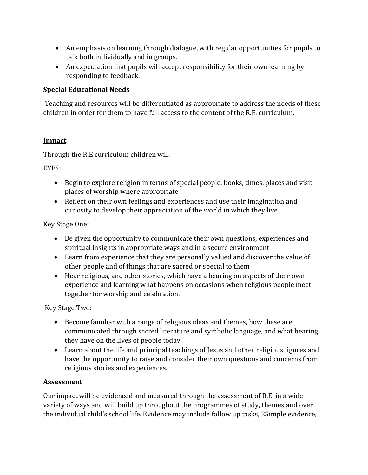- An emphasis on learning through dialogue, with regular opportunities for pupils to talk both individually and in groups.
- An expectation that pupils will accept responsibility for their own learning by responding to feedback.

### **Special Educational Needs**

Teaching and resources will be differentiated as appropriate to address the needs of these children in order for them to have full access to the content of the R.E. curriculum.

## **Impact**

Through the R.E curriculum children will:

EYFS:

- Begin to explore religion in terms of special people, books, times, places and visit places of worship where appropriate
- Reflect on their own feelings and experiences and use their imagination and curiosity to develop their appreciation of the world in which they live.

Key Stage One:

- Be given the opportunity to communicate their own questions, experiences and spiritual insights in appropriate ways and in a secure environment
- Learn from experience that they are personally valued and discover the value of other people and of things that are sacred or special to them
- Hear religious, and other stories, which have a bearing on aspects of their own experience and learning what happens on occasions when religious people meet together for worship and celebration.

Key Stage Two:

- Become familiar with a range of religious ideas and themes, how these are communicated through sacred literature and symbolic language, and what bearing they have on the lives of people today
- Learn about the life and principal teachings of Jesus and other religious figures and have the opportunity to raise and consider their own questions and concerns from religious stories and experiences.

# **Assessment**

Our impact will be evidenced and measured through the assessment of R.E. in a wide variety of ways and will build up throughout the programmes of study, themes and over the individual child's school life. Evidence may include follow up tasks, 2Simple evidence,